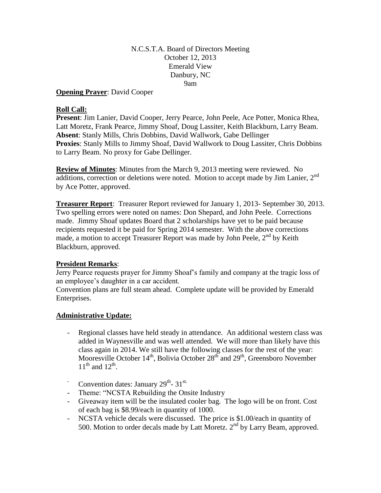N.C.S.T.A. Board of Directors Meeting October 12, 2013 Emerald View Danbury, NC 9am

**Opening Prayer**: David Cooper

### **Roll Call:**

**Present**: Jim Lanier, David Cooper, Jerry Pearce, John Peele, Ace Potter, Monica Rhea, Latt Moretz, Frank Pearce, Jimmy Shoaf, Doug Lassiter, Keith Blackburn, Larry Beam. **Absent**: Stanly Mills, Chris Dobbins, David Wallwork, Gabe Dellinger **Proxies**: Stanly Mills to Jimmy Shoaf, David Wallwork to Doug Lassiter, Chris Dobbins to Larry Beam. No proxy for Gabe Dellinger.

**Review of Minutes**: Minutes from the March 9, 2013 meeting were reviewed. No additions, correction or deletions were noted. Motion to accept made by Jim Lanier, 2<sup>nd</sup> by Ace Potter, approved.

**Treasurer Report**: Treasurer Report reviewed for January 1, 2013- September 30, 2013. Two spelling errors were noted on names: Don Shepard, and John Peele. Corrections made. Jimmy Shoaf updates Board that 2 scholarships have yet to be paid because recipients requested it be paid for Spring 2014 semester. With the above corrections made, a motion to accept Treasurer Report was made by John Peele,  $2<sup>nd</sup>$  by Keith Blackburn, approved.

### **President Remarks**:

Jerry Pearce requests prayer for Jimmy Shoaf's family and company at the tragic loss of an employee's daughter in a car accident.

Convention plans are full steam ahead. Complete update will be provided by Emerald Enterprises.

### **Administrative Update:**

- Regional classes have held steady in attendance. An additional western class was added in Waynesville and was well attended. We will more than likely have this class again in 2014. We still have the following classes for the rest of the year: Mooresville October  $14<sup>th</sup>$ , Bolivia October  $28<sup>th</sup>$  and  $29<sup>th</sup>$ , Greensboro November  $11<sup>th</sup>$  and  $12<sup>th</sup>$ .
- Convention dates: January  $29^{th}$   $31^{st}$ .
- Theme: "NCSTA Rebuilding the Onsite Industry
- Giveaway item will be the insulated cooler bag. The logo will be on front. Cost of each bag is \$8.99/each in quantity of 1000.
- NCSTA vehicle decals were discussed. The price is \$1.00/each in quantity of 500. Motion to order decals made by Latt Moretz. 2<sup>nd</sup> by Larry Beam, approved.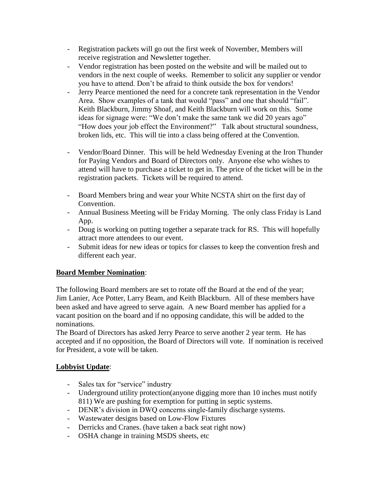- Registration packets will go out the first week of November, Members will receive registration and Newsletter together.
- Vendor registration has been posted on the website and will be mailed out to vendors in the next couple of weeks. Remember to solicit any supplier or vendor you have to attend. Don't be afraid to think outside the box for vendors!
- Jerry Pearce mentioned the need for a concrete tank representation in the Vendor Area. Show examples of a tank that would "pass" and one that should "fail". Keith Blackburn, Jimmy Shoaf, and Keith Blackburn will work on this. Some ideas for signage were: "We don't make the same tank we did 20 years ago" "How does your job effect the Environment?" Talk about structural soundness, broken lids, etc. This will tie into a class being offered at the Convention.
- Vendor/Board Dinner. This will be held Wednesday Evening at the Iron Thunder for Paying Vendors and Board of Directors only. Anyone else who wishes to attend will have to purchase a ticket to get in. The price of the ticket will be in the registration packets. Tickets will be required to attend.
- Board Members bring and wear your White NCSTA shirt on the first day of Convention.
- Annual Business Meeting will be Friday Morning. The only class Friday is Land App.
- Doug is working on putting together a separate track for RS. This will hopefully attract more attendees to our event.
- Submit ideas for new ideas or topics for classes to keep the convention fresh and different each year.

## **Board Member Nomination**:

The following Board members are set to rotate off the Board at the end of the year; Jim Lanier, Ace Potter, Larry Beam, and Keith Blackburn. All of these members have been asked and have agreed to serve again. A new Board member has applied for a vacant position on the board and if no opposing candidate, this will be added to the nominations.

The Board of Directors has asked Jerry Pearce to serve another 2 year term. He has accepted and if no opposition, the Board of Directors will vote. If nomination is received for President, a vote will be taken.

# **Lobbyist Update**:

- Sales tax for "service" industry
- Underground utility protection(anyone digging more than 10 inches must notify 811) We are pushing for exemption for putting in septic systems.
- DENR's division in DWQ concerns single-family discharge systems.
- Wastewater designs based on Low-Flow Fixtures
- Derricks and Cranes. (have taken a back seat right now)
- OSHA change in training MSDS sheets, etc